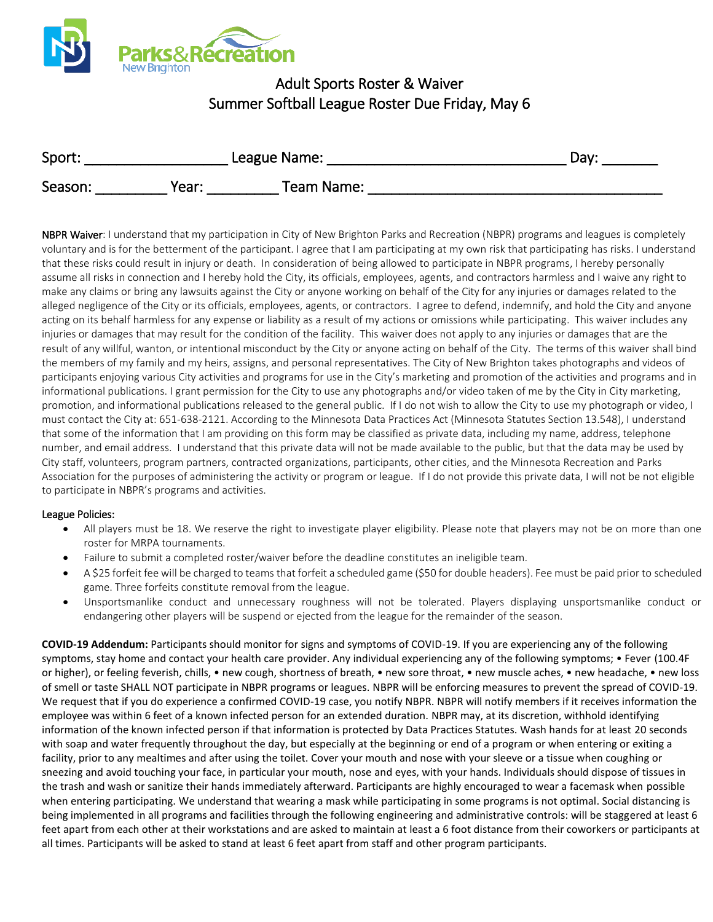

## Adult Sports Roster & Waiver Summer Softball League Roster Due Friday, May 6

| Sport:  | League Name: |            | Dav: |
|---------|--------------|------------|------|
| Season: | Year:        | Team Name: |      |

NBPR Waiver: I understand that my participation in City of New Brighton Parks and Recreation (NBPR) programs and leagues is completely voluntary and is for the betterment of the participant. I agree that I am participating at my own risk that participating has risks. I understand that these risks could result in injury or death. In consideration of being allowed to participate in NBPR programs, I hereby personally assume all risks in connection and I hereby hold the City, its officials, employees, agents, and contractors harmless and I waive any right to make any claims or bring any lawsuits against the City or anyone working on behalf of the City for any injuries or damages related to the alleged negligence of the City or its officials, employees, agents, or contractors. I agree to defend, indemnify, and hold the City and anyone acting on its behalf harmless for any expense or liability as a result of my actions or omissions while participating. This waiver includes any injuries or damages that may result for the condition of the facility. This waiver does not apply to any injuries or damages that are the result of any willful, wanton, or intentional misconduct by the City or anyone acting on behalf of the City. The terms of this waiver shall bind the members of my family and my heirs, assigns, and personal representatives. The City of New Brighton takes photographs and videos of participants enjoying various City activities and programs for use in the City's marketing and promotion of the activities and programs and in informational publications. I grant permission for the City to use any photographs and/or video taken of me by the City in City marketing, promotion, and informational publications released to the general public. If I do not wish to allow the City to use my photograph or video, I must contact the City at: 651-638-2121. According to the Minnesota Data Practices Act (Minnesota Statutes Section 13.548), I understand that some of the information that I am providing on this form may be classified as private data, including my name, address, telephone number, and email address. I understand that this private data will not be made available to the public, but that the data may be used by City staff, volunteers, program partners, contracted organizations, participants, other cities, and the Minnesota Recreation and Parks Association for the purposes of administering the activity or program or league. If I do not provide this private data, I will not be not eligible to participate in NBPR's programs and activities.

## League Policies:

- All players must be 18. We reserve the right to investigate player eligibility. Please note that players may not be on more than one roster for MRPA tournaments.
- Failure to submit a completed roster/waiver before the deadline constitutes an ineligible team.
- A \$25 forfeit fee will be charged to teams that forfeit a scheduled game (\$50 for double headers). Fee must be paid prior to scheduled game. Three forfeits constitute removal from the league.
- Unsportsmanlike conduct and unnecessary roughness will not be tolerated. Players displaying unsportsmanlike conduct or endangering other players will be suspend or ejected from the league for the remainder of the season.

**COVID-19 Addendum:** Participants should monitor for signs and symptoms of COVID-19. If you are experiencing any of the following symptoms, stay home and contact your health care provider. Any individual experiencing any of the following symptoms; • Fever (100.4F or higher), or feeling feverish, chills, • new cough, shortness of breath, • new sore throat, • new muscle aches, • new headache, • new loss of smell or taste SHALL NOT participate in NBPR programs or leagues. NBPR will be enforcing measures to prevent the spread of COVID-19. We request that if you do experience a confirmed COVID-19 case, you notify NBPR. NBPR will notify members if it receives information the employee was within 6 feet of a known infected person for an extended duration. NBPR may, at its discretion, withhold identifying information of the known infected person if that information is protected by Data Practices Statutes. Wash hands for at least 20 seconds with soap and water frequently throughout the day, but especially at the beginning or end of a program or when entering or exiting a facility, prior to any mealtimes and after using the toilet. Cover your mouth and nose with your sleeve or a tissue when coughing or sneezing and avoid touching your face, in particular your mouth, nose and eyes, with your hands. Individuals should dispose of tissues in the trash and wash or sanitize their hands immediately afterward. Participants are highly encouraged to wear a facemask when possible when entering participating. We understand that wearing a mask while participating in some programs is not optimal. Social distancing is being implemented in all programs and facilities through the following engineering and administrative controls: will be staggered at least 6 feet apart from each other at their workstations and are asked to maintain at least a 6 foot distance from their coworkers or participants at all times. Participants will be asked to stand at least 6 feet apart from staff and other program participants.